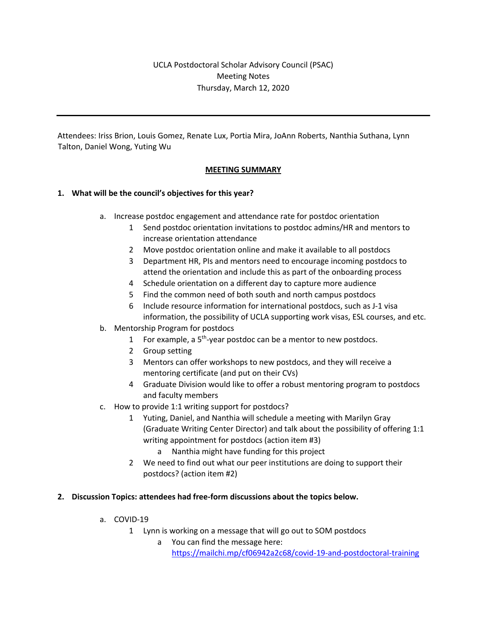# UCLA Postdoctoral Scholar Advisory Council (PSAC) Meeting Notes Thursday, March 12, 2020

Attendees: Iriss Brion, Louis Gomez, Renate Lux, Portia Mira, JoAnn Roberts, Nanthia Suthana, Lynn Talton, Daniel Wong, Yuting Wu

# **MEETING SUMMARY**

# **1. What will be the council's objectives for this year?**

- a. Increase postdoc engagement and attendance rate for postdoc orientation
	- 1 Send postdoc orientation invitations to postdoc admins/HR and mentors to increase orientation attendance
	- 2 Move postdoc orientation online and make it available to all postdocs
	- 3 Department HR, PIs and mentors need to encourage incoming postdocs to attend the orientation and include this as part of the onboarding process
	- 4 Schedule orientation on a different day to capture more audience
	- 5 Find the common need of both south and north campus postdocs
	- 6 Include resource information for international postdocs, such as J-1 visa information, the possibility of UCLA supporting work visas, ESL courses, and etc.
- b. Mentorship Program for postdocs
	- 1 For example, a  $5<sup>th</sup>$ -year postdoc can be a mentor to new postdocs.
	- 2 Group setting
	- 3 Mentors can offer workshops to new postdocs, and they will receive a mentoring certificate (and put on their CVs)
	- 4 Graduate Division would like to offer a robust mentoring program to postdocs and faculty members
- c. How to provide 1:1 writing support for postdocs?
	- 1 Yuting, Daniel, and Nanthia will schedule a meeting with Marilyn Gray (Graduate Writing Center Director) and talk about the possibility of offering 1:1 writing appointment for postdocs (action item #3)
		- a Nanthia might have funding for this project
	- 2 We need to find out what our peer institutions are doing to support their postdocs? (action item #2)

#### **2. Discussion Topics: attendees had free-form discussions about the topics below.**

- a. COVID-19
	- 1 Lynn is working on a message that will go out to SOM postdocs
		- a You can find the message here: https://mailchi.mp/cf06942a2c68/covid-19-and-postdoctoral-training